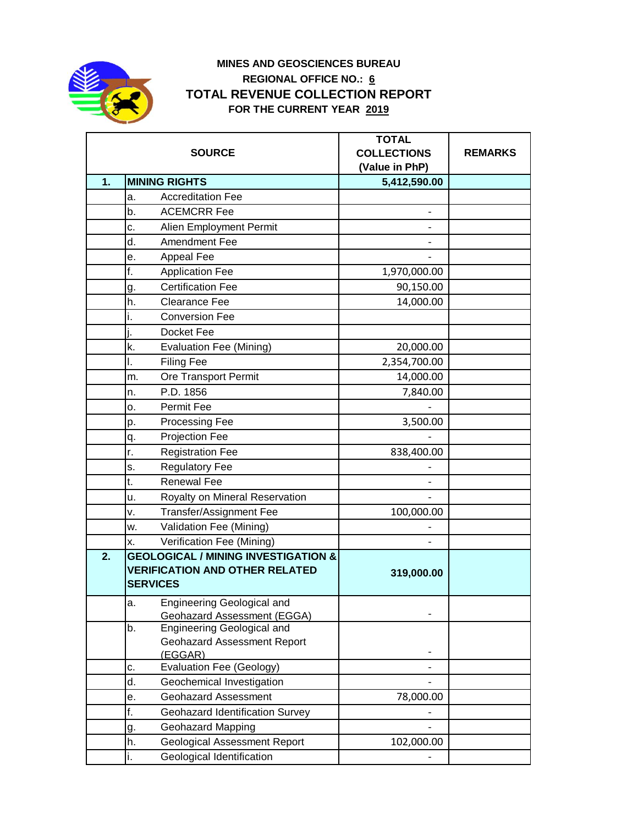

## **MINES AND GEOSCIENCES BUREAU REGIONAL OFFICE NO.: 6 TOTAL REVENUE COLLECTION REPORT FOR THE CURRENT YEAR 2019**

|    | <b>SOURCE</b>                                                                                              | <b>TOTAL</b><br><b>COLLECTIONS</b><br>(Value in PhP) | <b>REMARKS</b> |
|----|------------------------------------------------------------------------------------------------------------|------------------------------------------------------|----------------|
| 1. | <b>MINING RIGHTS</b>                                                                                       | 5,412,590.00                                         |                |
|    | <b>Accreditation Fee</b><br>a.                                                                             |                                                      |                |
|    | <b>ACEMCRR Fee</b><br>b.                                                                                   |                                                      |                |
|    | c.<br>Alien Employment Permit                                                                              |                                                      |                |
|    | d.<br>Amendment Fee                                                                                        |                                                      |                |
|    | Appeal Fee<br>е.                                                                                           |                                                      |                |
|    | f.<br><b>Application Fee</b>                                                                               | 1,970,000.00                                         |                |
|    | <b>Certification Fee</b><br>g.                                                                             | 90,150.00                                            |                |
|    | h.<br><b>Clearance Fee</b>                                                                                 | 14,000.00                                            |                |
|    | <b>Conversion Fee</b><br>i.                                                                                |                                                      |                |
|    | Docket Fee                                                                                                 |                                                      |                |
|    | k.<br><b>Evaluation Fee (Mining)</b>                                                                       | 20,000.00                                            |                |
|    | <b>Filing Fee</b><br>ı.                                                                                    | 2,354,700.00                                         |                |
|    | Ore Transport Permit<br>m.                                                                                 | 14,000.00                                            |                |
|    | P.D. 1856<br>n.                                                                                            | 7,840.00                                             |                |
|    | Permit Fee<br>о.                                                                                           |                                                      |                |
|    | Processing Fee<br>p.                                                                                       | 3,500.00                                             |                |
|    | Projection Fee<br>q.                                                                                       |                                                      |                |
|    | r.<br><b>Registration Fee</b>                                                                              | 838,400.00                                           |                |
|    | <b>Regulatory Fee</b><br>s.                                                                                |                                                      |                |
|    | <b>Renewal Fee</b><br>t.                                                                                   |                                                      |                |
|    | Royalty on Mineral Reservation<br>u.                                                                       |                                                      |                |
|    | <b>Transfer/Assignment Fee</b><br>v.                                                                       | 100,000.00                                           |                |
|    | Validation Fee (Mining)<br>w.                                                                              |                                                      |                |
|    | Verification Fee (Mining)<br>х.                                                                            |                                                      |                |
| 2. | <b>GEOLOGICAL / MINING INVESTIGATION &amp;</b><br><b>VERIFICATION AND OTHER RELATED</b><br><b>SERVICES</b> | 319,000.00                                           |                |
|    | <b>Engineering Geological and</b><br>а.<br><b>Geohazard Assessment (EGGA)</b>                              |                                                      |                |
|    | Engineering Geological and<br>b.<br><b>Geohazard Assessment Report</b><br>(EGGAR)                          |                                                      |                |
|    | Evaluation Fee (Geology)<br>c.                                                                             |                                                      |                |
|    | d.<br>Geochemical Investigation                                                                            |                                                      |                |
|    | <b>Geohazard Assessment</b><br>е.                                                                          | 78,000.00                                            |                |
|    | f.<br>Geohazard Identification Survey                                                                      |                                                      |                |
|    | <b>Geohazard Mapping</b><br>g.                                                                             |                                                      |                |
|    | <b>Geological Assessment Report</b><br>h.                                                                  | 102,000.00                                           |                |
|    | Geological Identification<br>i.                                                                            |                                                      |                |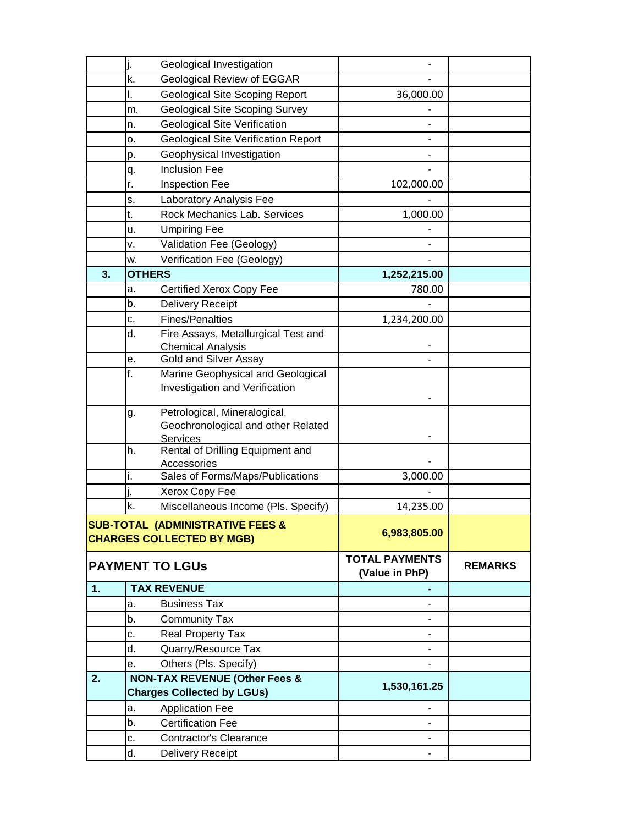|    | j.                                       | Geological Investigation                   |                       |                |
|----|------------------------------------------|--------------------------------------------|-----------------------|----------------|
|    | k.                                       | Geological Review of EGGAR                 |                       |                |
|    | I.                                       | <b>Geological Site Scoping Report</b>      | 36,000.00             |                |
|    | m.                                       | <b>Geological Site Scoping Survey</b>      |                       |                |
|    | n.                                       | <b>Geological Site Verification</b>        |                       |                |
|    | о.                                       | <b>Geological Site Verification Report</b> |                       |                |
|    | p.                                       | Geophysical Investigation                  |                       |                |
|    | q.                                       | <b>Inclusion Fee</b>                       |                       |                |
|    | r.                                       | Inspection Fee                             | 102,000.00            |                |
|    | s.                                       | Laboratory Analysis Fee                    |                       |                |
|    | t.                                       | Rock Mechanics Lab. Services               | 1,000.00              |                |
|    | u.                                       | <b>Umpiring Fee</b>                        |                       |                |
|    | ٧.                                       | Validation Fee (Geology)                   |                       |                |
|    | w.                                       | Verification Fee (Geology)                 |                       |                |
| 3. | <b>OTHERS</b>                            |                                            | 1,252,215.00          |                |
|    | a.                                       | <b>Certified Xerox Copy Fee</b>            | 780.00                |                |
|    | b.                                       | <b>Delivery Receipt</b>                    |                       |                |
|    | c.                                       | <b>Fines/Penalties</b>                     | 1,234,200.00          |                |
|    | d.                                       | Fire Assays, Metallurgical Test and        |                       |                |
|    |                                          | <b>Chemical Analysis</b>                   |                       |                |
|    | е.                                       | Gold and Silver Assay                      |                       |                |
|    | f.                                       | Marine Geophysical and Geological          |                       |                |
|    |                                          | Investigation and Verification             |                       |                |
|    | g.                                       | Petrological, Mineralogical,               |                       |                |
|    |                                          | Geochronological and other Related         |                       |                |
|    |                                          | <b>Services</b>                            |                       |                |
|    | h.                                       | Rental of Drilling Equipment and           |                       |                |
|    |                                          | Accessories                                |                       |                |
|    | i.                                       | Sales of Forms/Maps/Publications           | 3,000.00              |                |
|    | ı.                                       | Xerox Copy Fee                             |                       |                |
|    | k.                                       | Miscellaneous Income (Pls. Specify)        | 14,235.00             |                |
|    |                                          | SUB-TOTAL (ADMINISTRATIVE FEES &           | 6,983,805.00          |                |
|    |                                          | <b>CHARGES COLLECTED BY MGB)</b>           |                       |                |
|    |                                          | <b>PAYMENT TO LGUS</b>                     | <b>TOTAL PAYMENTS</b> | <b>REMARKS</b> |
|    |                                          |                                            | (Value in PhP)        |                |
| 1. |                                          | <b>TAX REVENUE</b>                         |                       |                |
|    | a.                                       | <b>Business Tax</b>                        |                       |                |
|    | b.                                       | <b>Community Tax</b>                       |                       |                |
|    | c.                                       | Real Property Tax                          |                       |                |
|    | d.                                       | Quarry/Resource Tax                        |                       |                |
|    | e.                                       | Others (Pls. Specify)                      |                       |                |
| 2. | <b>NON-TAX REVENUE (Other Fees &amp;</b> |                                            | 1,530,161.25          |                |
|    |                                          | <b>Charges Collected by LGUs)</b>          |                       |                |
|    | a.                                       | <b>Application Fee</b>                     |                       |                |
|    | b.                                       | <b>Certification Fee</b>                   |                       |                |
|    | C.                                       | <b>Contractor's Clearance</b>              |                       |                |
|    | d.                                       | Delivery Receipt                           |                       |                |